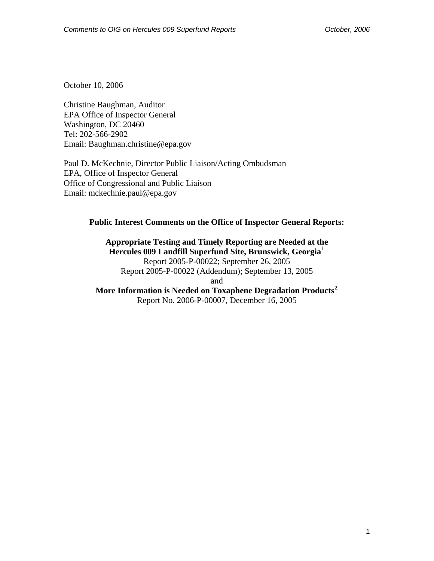October 10, 2006

Christine Baughman, Auditor EPA Office of Inspector General Washington, DC 20460 Tel: 202-566-2902 Email: Baughman.christine@epa.gov

Paul D. McKechnie, Director Public Liaison/Acting Ombudsman EPA, Office of Inspector General Office of Congressional and Public Liaison Email: mckechnie.paul@epa.gov

### **Public Interest Comments on the Office of Inspector General Reports:**

**Appropriate Testing and Timely Reporting are Needed at the Hercules 009 Landfill Superfund Site, Brunswick, Georgia[1](#page-8-0)** Report 2005-P-00022; September 26, 2005 Report 2005-P-00022 (Addendum); September 13, 2005 and **More Information is Needed on Toxaphene Degradation Products[2](#page-8-1)** Report No. 2006-P-00007, December 16, 2005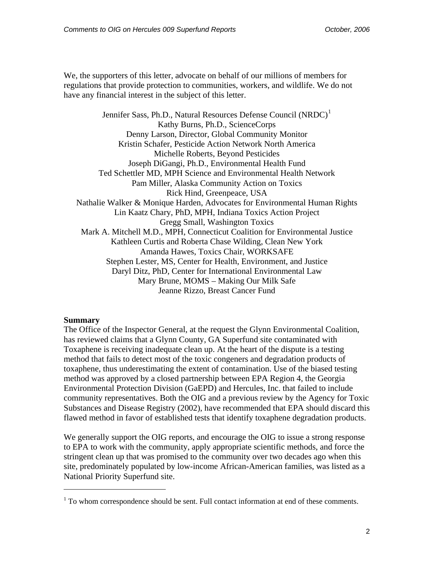We, the supporters of this letter, advocate on behalf of our millions of members for regulations that provide protection to communities, workers, and wildlife. We do not have any financial interest in the subject of this letter.

Jennifer Sass, Ph.D., Natural Resources Defense Council (NRDC)<sup>[1](#page-1-0)</sup> Kathy Burns, Ph.D., ScienceCorps Denny Larson, Director, Global Community Monitor Kristin Schafer, Pesticide Action Network North America Michelle Roberts, Beyond Pesticides Joseph DiGangi, Ph.D., Environmental Health Fund Ted Schettler MD, MPH Science and Environmental Health Network Pam Miller, Alaska Community Action on Toxics Rick Hind, Greenpeace, USA Nathalie Walker & Monique Harden, Advocates for Environmental Human Rights Lin Kaatz Chary, PhD, MPH, Indiana Toxics Action Project Gregg Small, Washington Toxics Mark A. Mitchell M.D., MPH, Connecticut Coalition for Environmental Justice Kathleen Curtis and Roberta Chase Wilding, Clean New York Amanda Hawes, Toxics Chair, WORKSAFE Stephen Lester, MS, Center for Health, Environment, and Justice Daryl Ditz, PhD, Center for International Environmental Law Mary Brune, MOMS – Making Our Milk Safe Jeanne Rizzo, Breast Cancer Fund

### **Summary**

l

The Office of the Inspector General, at the request the Glynn Environmental Coalition, has reviewed claims that a Glynn County, GA Superfund site contaminated with Toxaphene is receiving inadequate clean up. At the heart of the dispute is a testing method that fails to detect most of the toxic congeners and degradation products of toxaphene, thus underestimating the extent of contamination. Use of the biased testing method was approved by a closed partnership between EPA Region 4, the Georgia Environmental Protection Division (GaEPD) and Hercules, Inc. that failed to include community representatives. Both the OIG and a previous review by the Agency for Toxic Substances and Disease Registry (2002), have recommended that EPA should discard this flawed method in favor of established tests that identify toxaphene degradation products.

We generally support the OIG reports, and encourage the OIG to issue a strong response to EPA to work with the community, apply appropriate scientific methods, and force the stringent clean up that was promised to the community over two decades ago when this site, predominately populated by low-income African-American families, was listed as a National Priority Superfund site.

<span id="page-1-0"></span> $1$  To whom correspondence should be sent. Full contact information at end of these comments.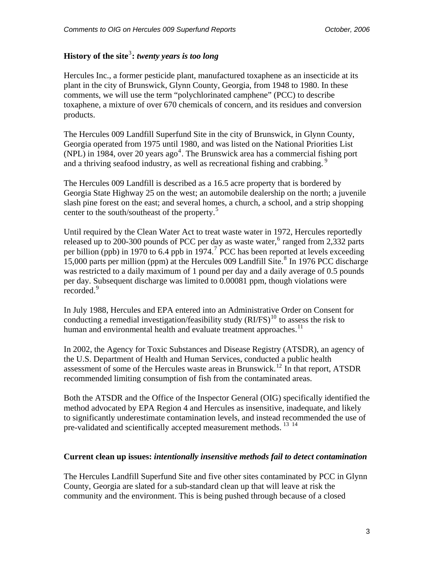# **History of the site**[3](#page-8-1) **:** *twenty years is too long*

Hercules Inc., a former pesticide plant, manufactured toxaphene as an insecticide at its plant in the city of Brunswick, Glynn County, Georgia, from 1948 to 1980. In these comments, we will use the term "polychlorinated camphene" (PCC) to describe toxaphene, a mixture of over 670 chemicals of concern, and its residues and conversion products.

The Hercules 009 Landfill Superfund Site in the city of Brunswick, in Glynn County, Georgia operated from 1975 until 1980, and was listed on the National Priorities List  $(NPL)$  in 198[4](#page-8-1), over 20 years ago<sup>4</sup>. The Brunswick area has a commercial fishing port and a thriving seafood industry, as well as recreational fishing and crabbing.<sup>9</sup>

The Hercules 009 Landfill is described as a 16.5 acre property that is bordered by Georgia State Highway 25 on the west; an automobile dealership on the north; a juvenile slash pine forest on the east; and several homes, a church, a school, and a strip shopping center to the south/southeast of the property.<sup>[5](#page-8-1)</sup>

Until required by the Clean Water Act to treat waste water in 1972, Hercules reportedly released up to 200-300 pounds of PCC per day as waste water,  $6$  ranged from 2,332 parts per billion (ppb) in 19[7](#page-8-1)0 to 6.4 ppb in 1974.<sup>7</sup> PCC has been reported at levels exceeding  $15,000$  parts per million (ppm) at the Hercules 009 Landfill Site.<sup>[8](#page-8-1)</sup> In 1976 PCC discharge was restricted to a daily maximum of 1 pound per day and a daily average of 0.5 pounds per day. Subsequent discharge was limited to 0.00081 ppm, though violations were recorded.<sup>[9](#page-8-1)</sup>

In July 1988, Hercules and EPA entered into an Administrative Order on Consent for conducting a remedial investigation/feasibility study  $(RIFS)^{10}$  $(RIFS)^{10}$  $(RIFS)^{10}$  to assess the risk to human and environmental health and evaluate treatment approaches.<sup>[11](#page-8-1)</sup>

In 2002, the Agency for Toxic Substances and Disease Registry (ATSDR), an agency of the U.S. Department of Health and Human Services, conducted a public health assessment of some of the Hercules waste areas in Brunswick.<sup>[12](#page-8-1)</sup> In that report, ATSDR recommended limiting consumption of fish from the contaminated areas.

Both the ATSDR and the Office of the Inspector General (OIG) specifically identified the method advocated by EPA Region 4 and Hercules as insensitive, inadequate, and likely to significantly underestimate contamination levels, and instead recommended the use of pre-validated and scientifically accepted measurement methods.<sup>[13](#page-8-1)</sup><sup>[14](#page-8-1)</sup>

## **Current clean up issues:** *intentionally insensitive methods fail to detect contamination*

The Hercules Landfill Superfund Site and five other sites contaminated by PCC in Glynn County, Georgia are slated for a sub-standard clean up that will leave at risk the community and the environment. This is being pushed through because of a closed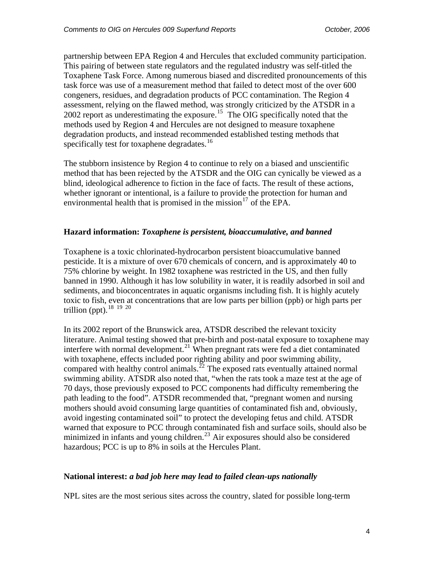partnership between EPA Region 4 and Hercules that excluded community participation. This pairing of between state regulators and the regulated industry was self-titled the Toxaphene Task Force. Among numerous biased and discredited pronouncements of this task force was use of a measurement method that failed to detect most of the over 600 congeners, residues, and degradation products of PCC contamination. The Region 4 assessment, relying on the flawed method, was strongly criticized by the ATSDR in a  $2002$  report as underestimating the exposure.<sup>[15](#page-8-1)</sup> The OIG specifically noted that the methods used by Region 4 and Hercules are not designed to measure toxaphene degradation products, and instead recommended established testing methods that specifically test for toxaphene degradates.<sup>[16](#page-8-1)</sup>

The stubborn insistence by Region 4 to continue to rely on a biased and unscientific method that has been rejected by the ATSDR and the OIG can cynically be viewed as a blind, ideological adherence to fiction in the face of facts. The result of these actions, whether ignorant or intentional, is a failure to provide the protection for human and environmental health that is promised in the mission<sup>[17](#page-8-1)</sup> of the EPA.

## **Hazard information:** *Toxaphene is persistent, bioaccumulative, and banned*

Toxaphene is a toxic chlorinated-hydrocarbon persistent bioaccumulative banned pesticide. It is a mixture of over 670 chemicals of concern, and is approximately 40 to 75% chlorine by weight. In 1982 toxaphene was restricted in the US, and then fully banned in 1990. Although it has low solubility in water, it is readily adsorbed in soil and sediments, and bioconcentrates in aquatic organisms including fish. It is highly acutely toxic to fish, even at concentrations that are low parts per billion (ppb) or high parts per trillion (ppt).  $18 \overline{19} \overline{20}$  $18 \overline{19} \overline{20}$  $18 \overline{19} \overline{20}$  $18 \overline{19} \overline{20}$  $18 \overline{19} \overline{20}$  $18 \overline{19} \overline{20}$ 

In its 2002 report of the Brunswick area, ATSDR described the relevant toxicity literature. Animal testing showed that pre-birth and post-natal exposure to toxaphene may interfere with normal development.<sup>[21](#page-8-1)</sup> When pregnant rats were fed a diet contaminated with toxaphene, effects included poor righting ability and poor swimming ability, compared with healthy control animals.<sup> $22$ </sup> The exposed rats eventually attained normal swimming ability. ATSDR also noted that, "when the rats took a maze test at the age of 70 days, those previously exposed to PCC components had difficulty remembering the path leading to the food". ATSDR recommended that, "pregnant women and nursing mothers should avoid consuming large quantities of contaminated fish and, obviously, avoid ingesting contaminated soil" to protect the developing fetus and child. ATSDR warned that exposure to PCC through contaminated fish and surface soils, should also be minimized in infants and young children.<sup>[23](#page-8-1)</sup> Air exposures should also be considered hazardous; PCC is up to 8% in soils at the Hercules Plant.

### **National interest:** *a bad job here may lead to failed clean-ups nationally*

NPL sites are the most serious sites across the country, slated for possible long-term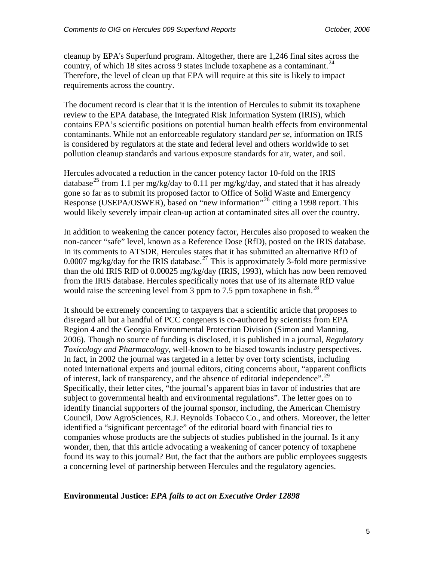cleanup by EPA's Superfund program. Altogether, there are 1,246 final sites across the country, of which 18 sites across 9 states include toxaphene as a contaminant.<sup>[24](#page-8-1)</sup> Therefore, the level of clean up that EPA will require at this site is likely to impact requirements across the country.

The document record is clear that it is the intention of Hercules to submit its toxaphene review to the EPA database, the Integrated Risk Information System (IRIS), which contains EPA's scientific positions on potential human health effects from environmental contaminants. While not an enforceable regulatory standard *per se*, information on IRIS is considered by regulators at the state and federal level and others worldwide to set pollution cleanup standards and various exposure standards for air, water, and soil.

Hercules advocated a reduction in the cancer potency factor 10-fold on the IRIS database<sup>[25](#page-8-1)</sup> from 1.1 per mg/kg/day to 0.11 per mg/kg/day, and stated that it has already gone so far as to submit its proposed factor to Office of Solid Waste and Emergency Response (USEPA/OSWER), based on "new information"<sup>[26](#page-8-1)</sup> citing a 1998 report. This would likely severely impair clean-up action at contaminated sites all over the country.

In addition to weakening the cancer potency factor, Hercules also proposed to weaken the non-cancer "safe" level, known as a Reference Dose (RfD), posted on the IRIS database. In its comments to ATSDR, Hercules states that it has submitted an alternative RfD of 0.0007 mg/kg/day for the IRIS database.<sup>[27](#page-8-1)</sup> This is approximately 3-fold more permissive than the old IRIS RfD of 0.00025 mg/kg/day (IRIS, 1993), which has now been removed from the IRIS database. Hercules specifically notes that use of its alternate RfD value would raise the screening level from 3 ppm to 7.5 ppm toxaphene in fish.<sup>[28](#page-8-1)</sup>

It should be extremely concerning to taxpayers that a scientific article that proposes to disregard all but a handful of PCC congeners is co-authored by scientists from EPA Region 4 and the Georgia Environmental Protection Division (Simon and Manning, 2006). Though no source of funding is disclosed, it is published in a journal, *Regulatory Toxicology and Pharmacology*, well-known to be biased towards industry perspectives. In fact, in 2002 the journal was targeted in a letter by over forty scientists, including noted international experts and journal editors, citing concerns about, "apparent conflicts of interest, lack of transparency, and the absence of editorial independence".[29](#page-8-1) Specifically, their letter cites, "the journal's apparent bias in favor of industries that are subject to governmental health and environmental regulations". The letter goes on to identify financial supporters of the journal sponsor, including, the American Chemistry Council, Dow AgroSciences, R.J. Reynolds Tobacco Co., and others. Moreover, the letter identified a "significant percentage" of the editorial board with financial ties to companies whose products are the subjects of studies published in the journal. Is it any wonder, then, that this article advocating a weakening of cancer potency of toxaphene found its way to this journal? But, the fact that the authors are public employees suggests a concerning level of partnership between Hercules and the regulatory agencies.

### **Environmental Justice:** *EPA fails to act on Executive Order 12898*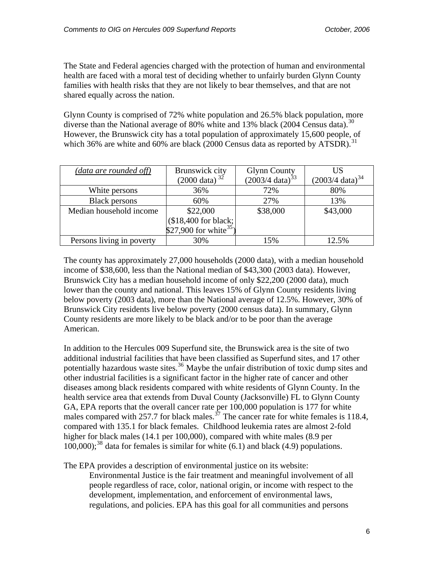The State and Federal agencies charged with the protection of human and environmental health are faced with a moral test of deciding whether to unfairly burden Glynn County families with health risks that they are not likely to bear themselves, and that are not shared equally across the nation.

Glynn County is comprised of 72% white population and 26.5% black population, more diverse than the National average of 80% white and 13% black (2004 Census data).<sup>[30](#page-8-1)</sup> However, the Brunswick city has a total population of approximately 15,600 people, of which 36% are white and 60% are black (2000 Census data as reported by ATSDR).<sup>[31](#page-8-1)</sup>

| (data are rounded off)    | Brunswick city             | Glynn County<br>$(2003/4 \text{ data})^{33}$ | US                             |
|---------------------------|----------------------------|----------------------------------------------|--------------------------------|
|                           | $(2000 \text{ data})^{32}$ |                                              | $(2003/4)$ data) <sup>34</sup> |
| White persons             | 36%                        | 72%                                          | 80%                            |
| <b>Black persons</b>      | 60%                        | 27%                                          | 13%                            |
| Median household income   | \$22,000                   | \$38,000                                     | \$43,000                       |
|                           | (\$18,400 for black;       |                                              |                                |
|                           | \$27,900 for white $35$ )  |                                              |                                |
| Persons living in poverty | 30%                        | 15%                                          | 12.5%                          |

The county has approximately 27,000 households (2000 data), with a median household income of \$38,600, less than the National median of \$43,300 (2003 data). However, Brunswick City has a median household income of only \$22,200 (2000 data), much lower than the county and national. This leaves 15% of Glynn County residents living below poverty (2003 data), more than the National average of 12.5%. However, 30% of Brunswick City residents live below poverty (2000 census data). In summary, Glynn County residents are more likely to be black and/or to be poor than the average American.

In addition to the Hercules 009 Superfund site, the Brunswick area is the site of two additional industrial facilities that have been classified as Superfund sites, and 17 other potentially hazardous waste sites.<sup>[36](#page-8-1)</sup> Maybe the unfair distribution of toxic dump sites and other industrial facilities is a significant factor in the higher rate of cancer and other diseases among black residents compared with white residents of Glynn County. In the health service area that extends from Duval County (Jacksonville) FL to Glynn County GA, EPA reports that the overall cancer rate per 100,000 population is 177 for white males compared with 257.7 for black males.<sup>[37](#page-8-1)</sup> The cancer rate for white females is 118.4, compared with 135.1 for black females. Childhood leukemia rates are almost 2-fold higher for black males (14.1 per 100,000), compared with white males (8.9 per  $100,000$ ;<sup>[38](#page-8-1)</sup> data for females is similar for white (6.1) and black (4.9) populations.

The EPA provides a description of environmental justice on its website:

Environmental Justice is the fair treatment and meaningful involvement of all people regardless of race, color, national origin, or income with respect to the development, implementation, and enforcement of environmental laws, regulations, and policies. EPA has this goal for all communities and persons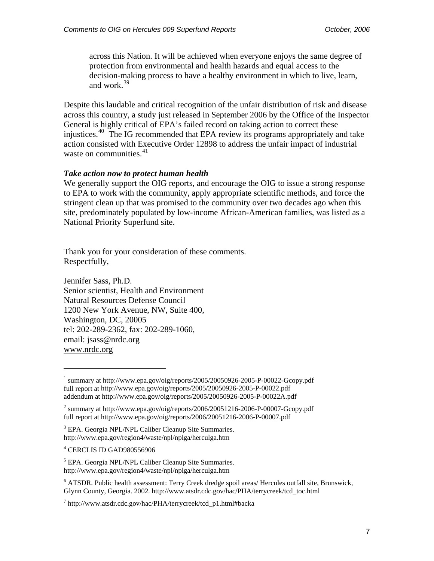across this Nation. It will be achieved when everyone enjoys the same degree of protection from environmental and health hazards and equal access to the decision-making process to have a healthy environment in which to live, learn, and work. $39$ 

Despite this laudable and critical recognition of the unfair distribution of risk and disease across this country, a study just released in September 2006 by the Office of the Inspector General is highly critical of EPA's failed record on taking action to correct these injustices.<sup>[40](#page-8-2)</sup> The IG recommended that EPA review its programs appropriately and take action consisted with Executive Order 12898 to address the unfair impact of industrial waste on communities. $41$ 

#### *Take action now to protect human health*

We generally support the OIG reports, and encourage the OIG to issue a strong response to EPA to work with the community, apply appropriate scientific methods, and force the stringent clean up that was promised to the community over two decades ago when this site, predominately populated by low-income African-American families, was listed as a National Priority Superfund site.

Thank you for your consideration of these comments. Respectfully,

Jennifer Sass, Ph.D. Senior scientist, Health and Environment Natural Resources Defense Council 1200 New York Avenue, NW, Suite 400, Washington, DC, 20005 tel: 202-289-2362, fax: 202-289-1060, email: jsass@nrdc.org <www.nrdc.org>

l

<sup>&</sup>lt;sup>1</sup> summary at http://www.epa.gov/oig/reports/2005/20050926-2005-P-00022-Gcopy.pdf full report at<http://www.epa.gov/oig/reports/2005/20050926-2005-P-00022.pdf> addendum at http://www.epa.gov/oig/reports/2005/20050926-2005-P-00022A.pdf

<sup>&</sup>lt;sup>2</sup> summary at http://www.epa.gov/oig/reports/2006/20051216-2006-P-00007-Gcopy.pdf full report at http://www.epa.gov/oig/reports/2006/20051216-2006-P-00007.pdf

<sup>&</sup>lt;sup>3</sup> EPA. Georgia NPL/NPL Caliber Cleanup Site Summaries. http://www.epa.gov/region4/waste/npl/nplga/herculga.htm

<sup>4</sup> CERCLIS ID GAD980556906

<sup>&</sup>lt;sup>5</sup> EPA. Georgia NPL/NPL Caliber Cleanup Site Summaries. http://www.epa.gov/region4/waste/npl/nplga/herculga.htm

<sup>&</sup>lt;sup>6</sup> ATSDR. Public health assessment: Terry Creek dredge spoil areas/ Hercules outfall site, Brunswick, Glynn County, Georgia. 2002. http://www.atsdr.cdc.gov/hac/PHA/terrycreek/tcd\_toc.html

<sup>7</sup> http://www.atsdr.cdc.gov/hac/PHA/terrycreek/tcd\_p1.html#backa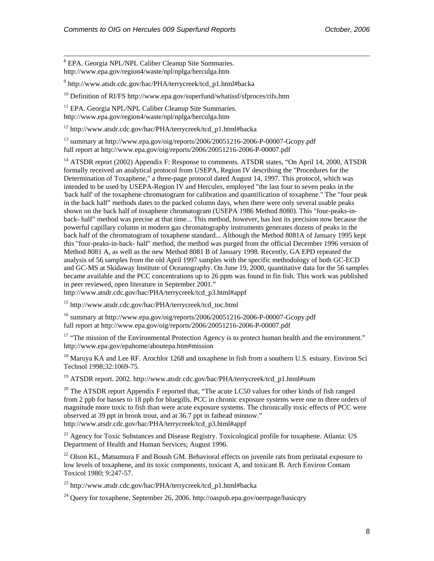<sup>8</sup> EPA. Georgia NPL/NPL Caliber Cleanup Site Summaries. http://www.epa.gov/region4/waste/npl/nplga/herculga.htm

<sup>9</sup> http://www.atsdr.cdc.gov/hac/PHA/terrycreek/tcd\_p1.html#backa

 $10$  Definition of RI/FS http://www.epa.gov/superfund/whatissf/sfproces/rifs.htm

<sup>11</sup> EPA. Georgia NPL/NPL Caliber Cleanup Site Summaries. http://www.epa.gov/region4/waste/npl/nplga/herculga.htm

12 http://www.atsdr.cdc.gov/hac/PHA/terrycreek/tcd\_p1.html#backa

13 summary at<http://www.epa.gov/oig/reports/2006/20051216-2006-P-00007-Gcopy.pdf> full report at http://www.epa.gov/oig/reports/2006/20051216-2006-P-00007.pdf

<sup>14</sup> ATSDR report (2002) Appendix F: Response to comments. ATSDR states, "On April 14, 2000, ATSDR formally received an analytical protocol from USEPA, Region IV describing the "Procedures for the Determination of Toxaphene," a three-page protocol dated August 14, 1997. This protocol, which was intended to be used by USEPA-Region IV and Hercules, employed "the last four to seven peaks in the 'back half' of the toxaphene chromatogram for calibration and quantification of toxaphene." The "four peak in the back half" methods dates to the packed column days, when there were only several usable peaks shown on the back half of toxaphene chromatogram (USEPA 1986 Method 8080). This "four-peaks-inback- half" method was precise at that time... This method, however, has lost its precision now because the powerful capillary column in modern gas chromatography instruments generates dozens of peaks in the back half of the chromatogram of toxaphene standard... Although the Method 8081A of January 1995 kept this "four-peaks-in-back- half" method, the method was purged from the official December 1996 version of Method 8081 A, as well as the new Method 8081 B of January 1998. Recently, GA EPD repeated the analysis of 56 samples from the old April 1997 samples with the specific methodology of both GC-ECD and GC-MS at Skidaway Institute of Oceanography. On June 19, 2000, quantitative data for the 56 samples became available and the PCC concentrations up to 26 ppm was found in fin fish. This work was published in peer reviewed, open literature in September 2001."

http://www.atsdr.cdc.gov/hac/PHA/terrycreek/tcd\_p3.html#appf

15 http://www.atsdr.cdc.gov/hac/PHA/terrycreek/tcd\_toc.html

16 summary at<http://www.epa.gov/oig/reports/2006/20051216-2006-P-00007-Gcopy.pdf> full report at http://www.epa.gov/oig/reports/2006/20051216-2006-P-00007.pdf

 $17$  "The mission of the Environmental Protection Agency is to protect human health and the environment." http://www.epa.gov/epahome/aboutepa.htm#mission

<sup>18</sup> Maruya KA and Lee RF. Arochlor 1268 and toxaphene in fish from a southern U.S. estuary. Environ Sci Technol 1998;32:1069-75.

19 ATSDR report. 2002. http://www.atsdr.cdc.gov/hac/PHA/terrycreek/tcd\_p1.html#sum

<sup>20</sup> The ATSDR report Appendix F reported that, "The acute LC50 values for other kinds of fish ranged from 2 ppb for basses to 18 ppb for bluegills. PCC in chronic exposure systems were one to three orders of magnitude more toxic to fish than were acute exposure systems. The chronically toxic effects of PCC were observed at 39 ppt in brook trout, and at 36.7 ppt in fathead minnow." http://www.atsdr.cdc.gov/hac/PHA/terrycreek/tcd\_p3.html#appf

<sup>21</sup> Agency for Toxic Substances and Disease Registry. Toxicological profile for toxaphene. Atlanta: US Department of Health and Human Services; August 1996.

 $^{22}$  Olson KL, Matsumura F and Boush GM. Behavioral effects on juvenile rats from perinatal exposure to low levels of toxaphene, and its toxic components, toxicant A, and toxicant B. Arch Environ Contam Toxicol 1980; 9:247-57.

23 http://www.atsdr.cdc.gov/hac/PHA/terrycreek/tcd\_p1.html#backa

 $^{24}$  Query for toxaphene, September 26, 2006. http://oaspub.epa.gov/oerrpage/basicqry